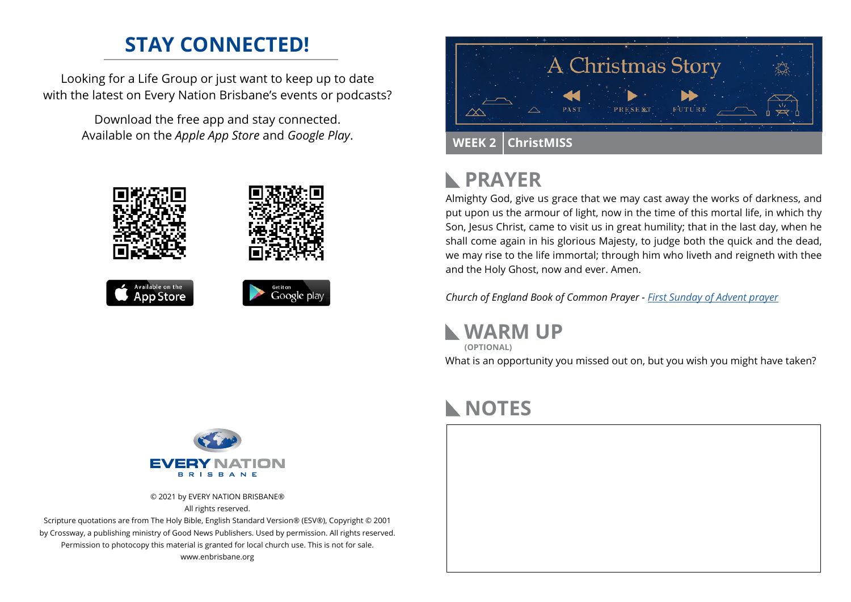### **STAY CONNECTED!**

Looking for a Life Group or just want to keep up to date with the latest on Every Nation Brisbane's events or podcasts?

> Download the free app and stay connected. Available on the *Apple App Store* and *Google Play*.





## **PRAYER**

Almighty God, give us grace that we may cast away the works of darkness, and put upon us the armour of light, now in the time of this mortal life, in which thy Son, Jesus Christ, came to visit us in great humility; that in the last day, when he shall come again in his glorious Majesty, to judge both the quick and the dead, we may rise to the life immortal; through him who liveth and reigneth with thee and the Holy Ghost, now and ever. Amen.

*Church of England Book of Common Prayer - [First Sunday of Advent prayer](https://www.churchofengland.org/prayer-and-worship/worship-texts-and-resources/book-common-prayer/collects-epistles-and-gospels-1)*

**WARM UP**

What is an opportunity you missed out on, but you wish you might have taken? **(OPTIONAL)**

## **NOTES**





© 2021 by EVERY NATION BRISBANE® All rights reserved.

Scripture quotations are from The Holy Bible, English Standard Version® (ESV®), Copyright © 2001 by Crossway, a publishing ministry of Good News Publishers. Used by permission. All rights reserved. Permission to photocopy this material is granted for local church use. This is not for sale. www.enbrisbane.org